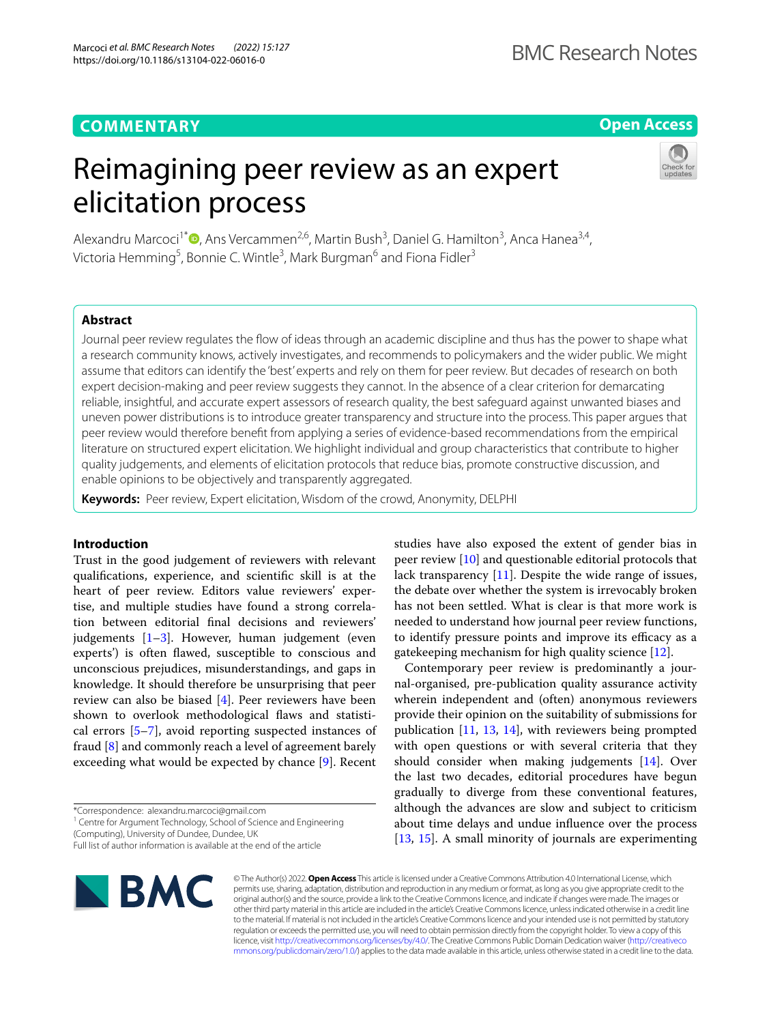# **COMMENTARY**

# **Open Access**

# Reimagining peer review as an expert elicitation process



Alexandru Marcoci<sup>1\*</sup><sup>®</sup>[,](http://orcid.org/0000-0002-5780-0805) Ans Vercammen<sup>2,6</sup>, Martin Bush<sup>3</sup>, Daniel G. Hamilton<sup>3</sup>, Anca Hanea<sup>3,4</sup>, Victoria Hemming<sup>5</sup>, Bonnie C. Wintle<sup>3</sup>, Mark Burgman<sup>6</sup> and Fiona Fidler<sup>3</sup>

# **Abstract**

Journal peer review regulates the fow of ideas through an academic discipline and thus has the power to shape what a research community knows, actively investigates, and recommends to policymakers and the wider public. We might assume that editors can identify the 'best' experts and rely on them for peer review. But decades of research on both expert decision-making and peer review suggests they cannot. In the absence of a clear criterion for demarcating reliable, insightful, and accurate expert assessors of research quality, the best safeguard against unwanted biases and uneven power distributions is to introduce greater transparency and structure into the process. This paper argues that peer review would therefore beneft from applying a series of evidence-based recommendations from the empirical literature on structured expert elicitation. We highlight individual and group characteristics that contribute to higher quality judgements, and elements of elicitation protocols that reduce bias, promote constructive discussion, and enable opinions to be objectively and transparently aggregated.

**Keywords:** Peer review, Expert elicitation, Wisdom of the crowd, Anonymity, DELPHI

# **Introduction**

Trust in the good judgement of reviewers with relevant qualifcations, experience, and scientifc skill is at the heart of peer review. Editors value reviewers' expertise, and multiple studies have found a strong correlation between editorial fnal decisions and reviewers' judgements [\[1](#page-4-0)–[3\]](#page-4-1). However, human judgement (even experts') is often fawed, susceptible to conscious and unconscious prejudices, misunderstandings, and gaps in knowledge. It should therefore be unsurprising that peer review can also be biased [[4\]](#page-4-2). Peer reviewers have been shown to overlook methodological faws and statistical errors [[5](#page-4-3)[–7](#page-4-4)], avoid reporting suspected instances of fraud [[8\]](#page-4-5) and commonly reach a level of agreement barely exceeding what would be expected by chance [\[9](#page-4-6)]. Recent

\*Correspondence: alexandru.marcoci@gmail.com

<sup>1</sup> Centre for Argument Technology, School of Science and Engineering (Computing), University of Dundee, Dundee, UK

Full list of author information is available at the end of the article



studies have also exposed the extent of gender bias in peer review [[10\]](#page-4-7) and questionable editorial protocols that lack transparency [[11\]](#page-4-8). Despite the wide range of issues, the debate over whether the system is irrevocably broken has not been settled. What is clear is that more work is needed to understand how journal peer review functions, to identify pressure points and improve its efficacy as a gatekeeping mechanism for high quality science [\[12](#page-4-9)].

Contemporary peer review is predominantly a journal-organised, pre-publication quality assurance activity wherein independent and (often) anonymous reviewers provide their opinion on the suitability of submissions for publication [[11,](#page-4-8) [13](#page-4-10), [14\]](#page-4-11), with reviewers being prompted with open questions or with several criteria that they should consider when making judgements [\[14](#page-4-11)]. Over the last two decades, editorial procedures have begun gradually to diverge from these conventional features, although the advances are slow and subject to criticism about time delays and undue infuence over the process [[13,](#page-4-10) [15](#page-4-12)]. A small minority of journals are experimenting

© The Author(s) 2022. **Open Access** This article is licensed under a Creative Commons Attribution 4.0 International License, which permits use, sharing, adaptation, distribution and reproduction in any medium or format, as long as you give appropriate credit to the original author(s) and the source, provide a link to the Creative Commons licence, and indicate if changes were made. The images or other third party material in this article are included in the article's Creative Commons licence, unless indicated otherwise in a credit line to the material. If material is not included in the article's Creative Commons licence and your intended use is not permitted by statutory regulation or exceeds the permitted use, you will need to obtain permission directly from the copyright holder. To view a copy of this licence, visit [http://creativecommons.org/licenses/by/4.0/.](http://creativecommons.org/licenses/by/4.0/) The Creative Commons Public Domain Dedication waiver ([http://creativeco](http://creativecommons.org/publicdomain/zero/1.0/) [mmons.org/publicdomain/zero/1.0/](http://creativecommons.org/publicdomain/zero/1.0/)) applies to the data made available in this article, unless otherwise stated in a credit line to the data.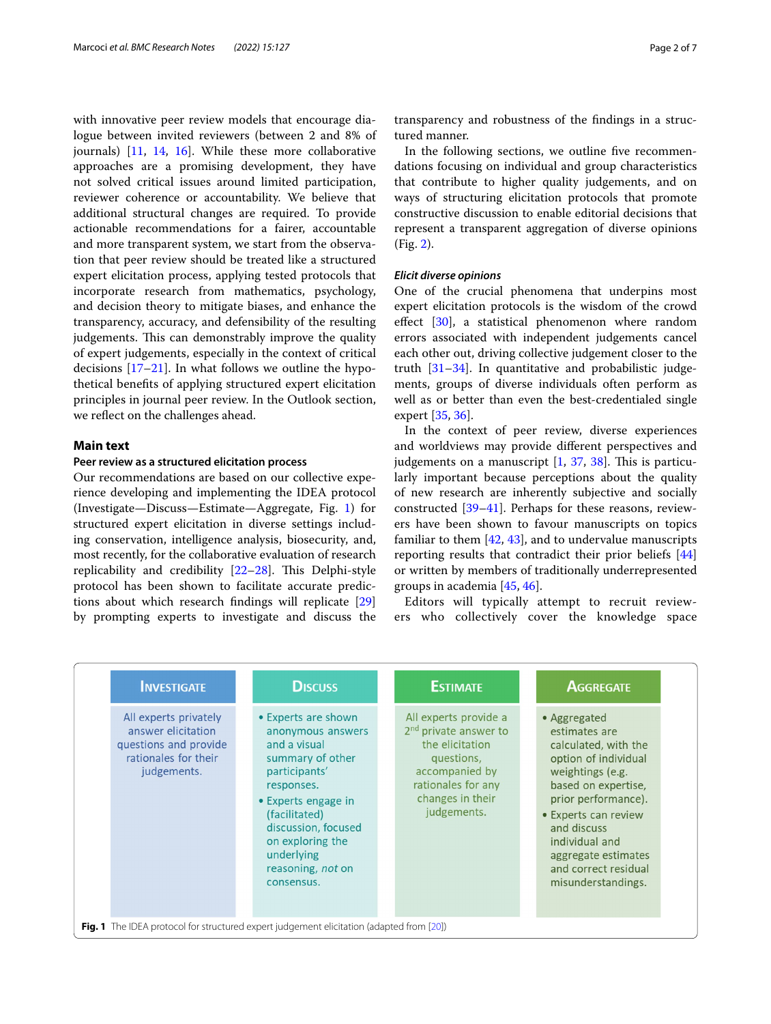with innovative peer review models that encourage dialogue between invited reviewers (between 2 and 8% of journals) [\[11](#page-4-8), [14,](#page-4-11) [16\]](#page-4-13). While these more collaborative approaches are a promising development, they have not solved critical issues around limited participation, reviewer coherence or accountability. We believe that additional structural changes are required. To provide actionable recommendations for a fairer, accountable and more transparent system, we start from the observation that peer review should be treated like a structured expert elicitation process, applying tested protocols that incorporate research from mathematics, psychology, and decision theory to mitigate biases, and enhance the transparency, accuracy, and defensibility of the resulting judgements. This can demonstrably improve the quality of expert judgements, especially in the context of critical decisions  $[17–21]$  $[17–21]$ . In what follows we outline the hypothetical benefts of applying structured expert elicitation principles in journal peer review. In the Outlook section, we refect on the challenges ahead.

# **Main text**

## **Peer review as a structured elicitation process**

Our recommendations are based on our collective experience developing and implementing the IDEA protocol (Investigate—Discuss—Estimate—Aggregate, Fig. [1\)](#page-1-0) for structured expert elicitation in diverse settings including conservation, intelligence analysis, biosecurity, and, most recently, for the collaborative evaluation of research replicability and credibility  $[22-28]$  $[22-28]$ . This Delphi-style protocol has been shown to facilitate accurate predictions about which research fndings will replicate [[29](#page-5-4)] by prompting experts to investigate and discuss the transparency and robustness of the fndings in a structured manner.

In the following sections, we outline five recommendations focusing on individual and group characteristics that contribute to higher quality judgements, and on ways of structuring elicitation protocols that promote constructive discussion to enable editorial decisions that represent a transparent aggregation of diverse opinions (Fig. [2\)](#page-2-0).

## *Elicit diverse opinions*

One of the crucial phenomena that underpins most expert elicitation protocols is the wisdom of the crowd effect [[30\]](#page-5-5), a statistical phenomenon where random errors associated with independent judgements cancel each other out, driving collective judgement closer to the truth [[31–](#page-5-6)[34](#page-5-7)]. In quantitative and probabilistic judgements, groups of diverse individuals often perform as well as or better than even the best-credentialed single expert [\[35](#page-5-8), [36\]](#page-5-9).

In the context of peer review, diverse experiences and worldviews may provide diferent perspectives and judgements on a manuscript  $[1, 37, 38]$  $[1, 37, 38]$  $[1, 37, 38]$  $[1, 37, 38]$  $[1, 37, 38]$  $[1, 37, 38]$  $[1, 37, 38]$ . This is particularly important because perceptions about the quality of new research are inherently subjective and socially constructed [\[39](#page-5-12)–[41\]](#page-5-13). Perhaps for these reasons, reviewers have been shown to favour manuscripts on topics familiar to them  $[42, 43]$  $[42, 43]$  $[42, 43]$  $[42, 43]$ , and to undervalue manuscripts reporting results that contradict their prior beliefs [[44](#page-5-16)] or written by members of traditionally underrepresented groups in academia [[45](#page-5-17), [46\]](#page-5-18).

Editors will typically attempt to recruit reviewers who collectively cover the knowledge space

<span id="page-1-0"></span>

| <b>INVESTIGATE</b>                                                                                          | <b>DISCUSS</b>                                                                                                                                                                                                                                  | <b>ESTIMATE</b>                                                                                                                                                        | <b>AGGREGATE</b>                                                                                                                                                                                                                                                              |
|-------------------------------------------------------------------------------------------------------------|-------------------------------------------------------------------------------------------------------------------------------------------------------------------------------------------------------------------------------------------------|------------------------------------------------------------------------------------------------------------------------------------------------------------------------|-------------------------------------------------------------------------------------------------------------------------------------------------------------------------------------------------------------------------------------------------------------------------------|
| All experts privately<br>answer elicitation<br>questions and provide<br>rationales for their<br>judgements. | • Experts are shown<br>anonymous answers<br>and a visual<br>summary of other<br>participants'<br>responses.<br>• Experts engage in<br>(facilitated)<br>discussion, focused<br>on exploring the<br>underlying<br>reasoning, not on<br>consensus. | All experts provide a<br>2 <sup>nd</sup> private answer to<br>the elicitation<br>questions,<br>accompanied by<br>rationales for any<br>changes in their<br>judgements. | • Aggregated<br>estimates are<br>calculated, with the<br>option of individual<br>weightings (e.g.<br>based on expertise,<br>prior performance).<br>• Experts can review<br>and discuss<br>individual and<br>aggregate estimates<br>and correct residual<br>misunderstandings. |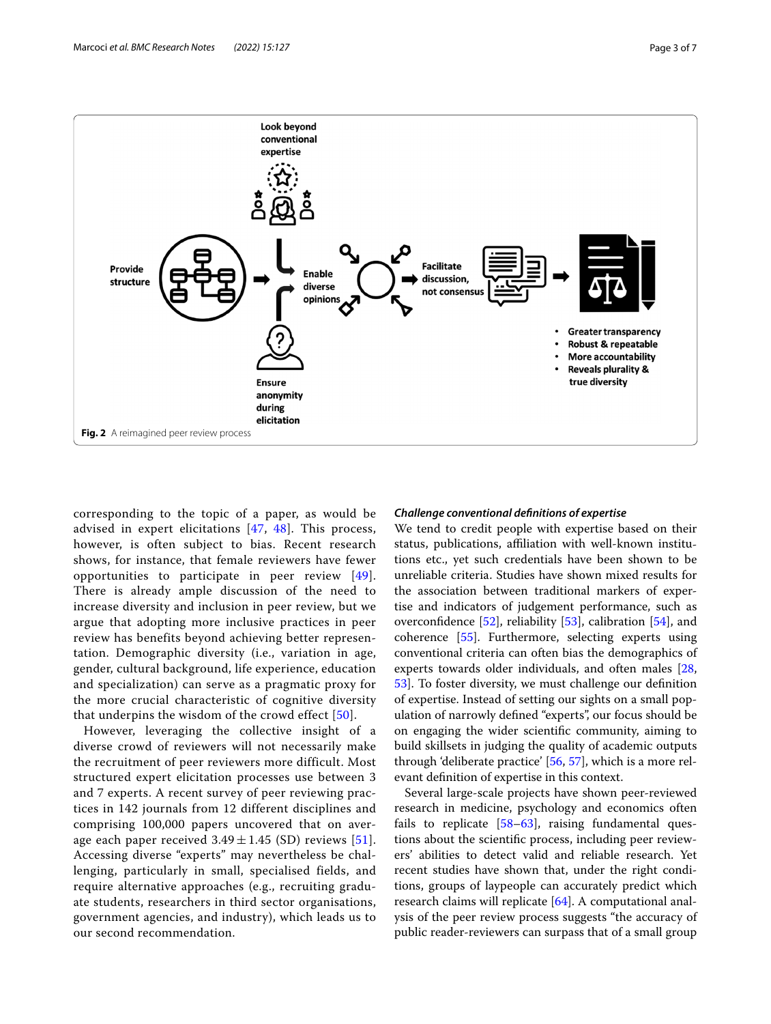

<span id="page-2-0"></span>corresponding to the topic of a paper, as would be advised in expert elicitations [[47](#page-5-20), [48\]](#page-5-21). This process, however, is often subject to bias. Recent research shows, for instance, that female reviewers have fewer opportunities to participate in peer review  $[49]$  $[49]$ . There is already ample discussion of the need to increase diversity and inclusion in peer review, but we argue that adopting more inclusive practices in peer review has benefits beyond achieving better representation. Demographic diversity (i.e., variation in age, gender, cultural background, life experience, education and specialization) can serve as a pragmatic proxy for the more crucial characteristic of cognitive diversity that underpins the wisdom of the crowd effect [[50](#page-5-23)].

However, leveraging the collective insight of a diverse crowd of reviewers will not necessarily make the recruitment of peer reviewers more difficult. Most structured expert elicitation processes use between 3 and 7 experts. A recent survey of peer reviewing practices in 142 journals from 12 different disciplines and comprising 100,000 papers uncovered that on average each paper received  $3.49 \pm 1.45$  (SD) reviews [[51\]](#page-5-24). Accessing diverse "experts" may nevertheless be challenging, particularly in small, specialised fields, and require alternative approaches (e.g., recruiting graduate students, researchers in third sector organisations, government agencies, and industry), which leads us to our second recommendation.

## *Challenge conventional defnitions of expertise*

We tend to credit people with expertise based on their status, publications, affiliation with well-known institutions etc., yet such credentials have been shown to be unreliable criteria. Studies have shown mixed results for the association between traditional markers of expertise and indicators of judgement performance, such as overconfdence [\[52](#page-5-25)], reliability [\[53](#page-5-26)], calibration [\[54\]](#page-5-27), and coherence [[55\]](#page-5-28). Furthermore, selecting experts using conventional criteria can often bias the demographics of experts towards older individuals, and often males [[28](#page-5-3), [53\]](#page-5-26). To foster diversity, we must challenge our defnition of expertise. Instead of setting our sights on a small population of narrowly defned "experts", our focus should be on engaging the wider scientifc community, aiming to build skillsets in judging the quality of academic outputs through 'deliberate practice' [[56,](#page-5-29) [57](#page-5-30)], which is a more relevant defnition of expertise in this context.

Several large-scale projects have shown peer-reviewed research in medicine, psychology and economics often fails to replicate  $[58-63]$  $[58-63]$  $[58-63]$ , raising fundamental questions about the scientifc process, including peer reviewers' abilities to detect valid and reliable research. Yet recent studies have shown that, under the right conditions, groups of laypeople can accurately predict which research claims will replicate [[64\]](#page-5-33). A computational analysis of the peer review process suggests "the accuracy of public reader-reviewers can surpass that of a small group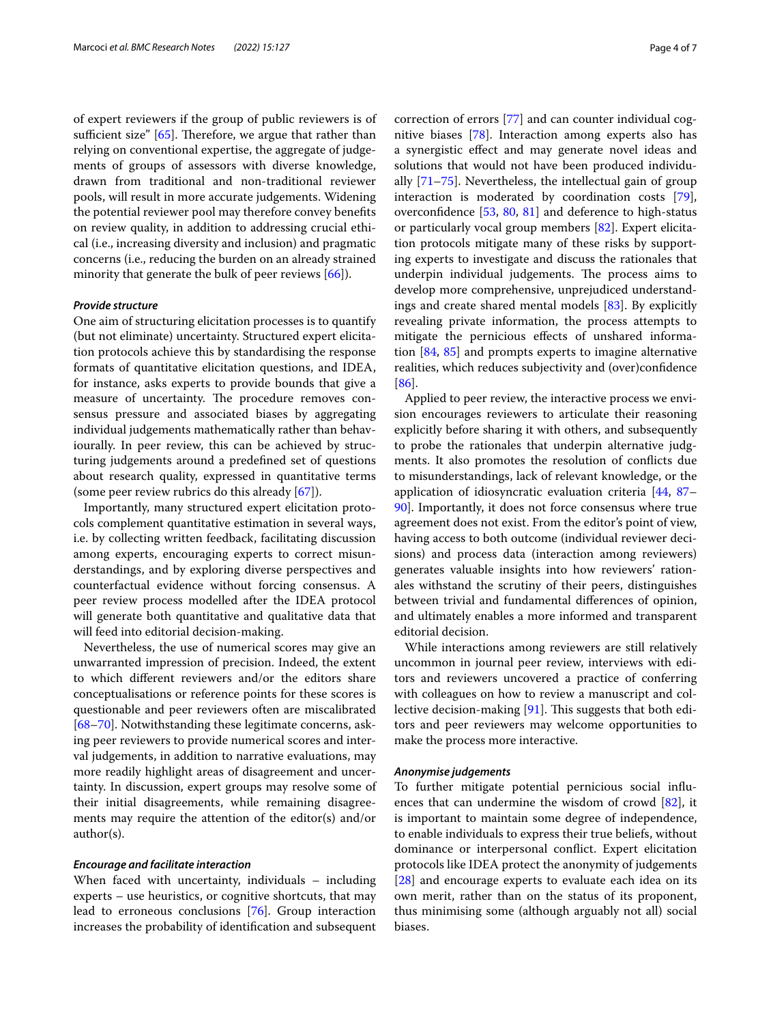of expert reviewers if the group of public reviewers is of sufficient size"  $[65]$  $[65]$ . Therefore, we argue that rather than relying on conventional expertise, the aggregate of judgements of groups of assessors with diverse knowledge, drawn from traditional and non-traditional reviewer pools, will result in more accurate judgements. Widening the potential reviewer pool may therefore convey benefts on review quality, in addition to addressing crucial ethical (i.e., increasing diversity and inclusion) and pragmatic concerns (i.e., reducing the burden on an already strained minority that generate the bulk of peer reviews [\[66](#page-5-35)]).

## *Provide structure*

One aim of structuring elicitation processes is to quantify (but not eliminate) uncertainty. Structured expert elicitation protocols achieve this by standardising the response formats of quantitative elicitation questions, and IDEA, for instance, asks experts to provide bounds that give a measure of uncertainty. The procedure removes consensus pressure and associated biases by aggregating individual judgements mathematically rather than behaviourally. In peer review, this can be achieved by structuring judgements around a predefned set of questions about research quality, expressed in quantitative terms (some peer review rubrics do this already [\[67](#page-5-36)]).

Importantly, many structured expert elicitation protocols complement quantitative estimation in several ways, i.e. by collecting written feedback, facilitating discussion among experts, encouraging experts to correct misunderstandings, and by exploring diverse perspectives and counterfactual evidence without forcing consensus. A peer review process modelled after the IDEA protocol will generate both quantitative and qualitative data that will feed into editorial decision-making.

Nevertheless, the use of numerical scores may give an unwarranted impression of precision. Indeed, the extent to which diferent reviewers and/or the editors share conceptualisations or reference points for these scores is questionable and peer reviewers often are miscalibrated [[68–](#page-5-37)[70](#page-5-38)]. Notwithstanding these legitimate concerns, asking peer reviewers to provide numerical scores and interval judgements, in addition to narrative evaluations, may more readily highlight areas of disagreement and uncertainty. In discussion, expert groups may resolve some of their initial disagreements, while remaining disagreements may require the attention of the editor(s) and/or author(s).

# *Encourage and facilitate interaction*

When faced with uncertainty, individuals – including experts – use heuristics, or cognitive shortcuts, that may lead to erroneous conclusions [\[76\]](#page-6-0). Group interaction increases the probability of identifcation and subsequent correction of errors [[77](#page-6-1)] and can counter individual cognitive biases [\[78](#page-6-2)]. Interaction among experts also has a synergistic efect and may generate novel ideas and solutions that would not have been produced individually [\[71](#page-5-39)–[75\]](#page-6-3). Nevertheless, the intellectual gain of group interaction is moderated by coordination costs [\[79](#page-6-4)], overconfdence [\[53](#page-5-26), [80](#page-6-5), [81\]](#page-6-6) and deference to high-status or particularly vocal group members [\[82](#page-6-7)]. Expert elicitation protocols mitigate many of these risks by supporting experts to investigate and discuss the rationales that underpin individual judgements. The process aims to develop more comprehensive, unprejudiced understandings and create shared mental models [\[83](#page-6-8)]. By explicitly revealing private information, the process attempts to mitigate the pernicious efects of unshared information [[84](#page-6-9), [85\]](#page-6-10) and prompts experts to imagine alternative realities, which reduces subjectivity and (over)confdence [[86\]](#page-6-11).

Applied to peer review, the interactive process we envision encourages reviewers to articulate their reasoning explicitly before sharing it with others, and subsequently to probe the rationales that underpin alternative judgments. It also promotes the resolution of conficts due to misunderstandings, lack of relevant knowledge, or the application of idiosyncratic evaluation criteria [[44](#page-5-16), [87–](#page-6-12) [90\]](#page-6-13). Importantly, it does not force consensus where true agreement does not exist. From the editor's point of view, having access to both outcome (individual reviewer decisions) and process data (interaction among reviewers) generates valuable insights into how reviewers' rationales withstand the scrutiny of their peers, distinguishes between trivial and fundamental diferences of opinion, and ultimately enables a more informed and transparent editorial decision.

While interactions among reviewers are still relatively uncommon in journal peer review, interviews with editors and reviewers uncovered a practice of conferring with colleagues on how to review a manuscript and collective decision-making  $[91]$  $[91]$ . This suggests that both editors and peer reviewers may welcome opportunities to make the process more interactive.

## *Anonymise judgements*

To further mitigate potential pernicious social infuences that can undermine the wisdom of crowd [[82\]](#page-6-7), it is important to maintain some degree of independence, to enable individuals to express their true beliefs, without dominance or interpersonal confict. Expert elicitation protocols like IDEA protect the anonymity of judgements [[28\]](#page-5-3) and encourage experts to evaluate each idea on its own merit, rather than on the status of its proponent, thus minimising some (although arguably not all) social biases.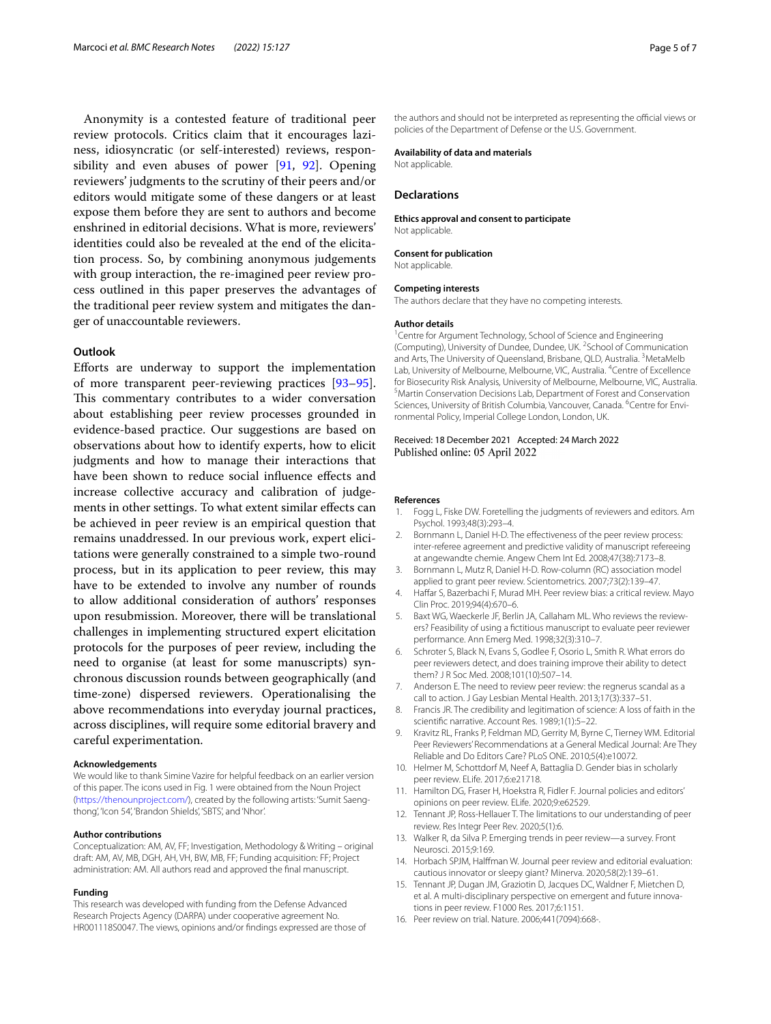Anonymity is a contested feature of traditional peer review protocols. Critics claim that it encourages laziness, idiosyncratic (or self-interested) reviews, responsibility and even abuses of power [\[91,](#page-6-14) [92\]](#page-6-15). Opening reviewers' judgments to the scrutiny of their peers and/or editors would mitigate some of these dangers or at least expose them before they are sent to authors and become enshrined in editorial decisions. What is more, reviewers' identities could also be revealed at the end of the elicitation process. So, by combining anonymous judgements with group interaction, the re-imagined peer review process outlined in this paper preserves the advantages of the traditional peer review system and mitigates the danger of unaccountable reviewers.

# **Outlook**

Eforts are underway to support the implementation of more transparent peer-reviewing practices [[93](#page-6-16)[–95](#page-6-17)]. This commentary contributes to a wider conversation about establishing peer review processes grounded in evidence-based practice. Our suggestions are based on observations about how to identify experts, how to elicit judgments and how to manage their interactions that have been shown to reduce social infuence efects and increase collective accuracy and calibration of judgements in other settings. To what extent similar effects can be achieved in peer review is an empirical question that remains unaddressed. In our previous work, expert elicitations were generally constrained to a simple two-round process, but in its application to peer review, this may have to be extended to involve any number of rounds to allow additional consideration of authors' responses upon resubmission. Moreover, there will be translational challenges in implementing structured expert elicitation protocols for the purposes of peer review, including the need to organise (at least for some manuscripts) synchronous discussion rounds between geographically (and time-zone) dispersed reviewers. Operationalising the above recommendations into everyday journal practices, across disciplines, will require some editorial bravery and careful experimentation.

#### **Acknowledgements**

We would like to thank Simine Vazire for helpful feedback on an earlier version of this paper. The icons used in Fig. 1 were obtained from the Noun Project (<https://thenounproject.com/>), created by the following artists: 'Sumit Saengthong', 'Icon 54', 'Brandon Shields', 'SBTS', and 'Nhor'.

#### **Author contributions**

Conceptualization: AM, AV, FF; Investigation, Methodology & Writing – original draft: AM, AV, MB, DGH, AH, VH, BW, MB, FF; Funding acquisition: FF; Project administration: AM. All authors read and approved the fnal manuscript.

#### **Funding**

This research was developed with funding from the Defense Advanced Research Projects Agency (DARPA) under cooperative agreement No. HR001118S0047. The views, opinions and/or fndings expressed are those of the authors and should not be interpreted as representing the official views or policies of the Department of Defense or the U.S. Government.

#### **Availability of data and materials**

Not applicable.

#### **Declarations**

#### **Ethics approval and consent to participate** Not applicable.

**Consent for publication** Not applicable.

#### **Competing interests**

The authors declare that they have no competing interests.

#### **Author details**

<sup>1</sup> Centre for Argument Technology, School of Science and Engineering (Computing), University of Dundee, Dundee, UK. <sup>2</sup> School of Communication and Arts, The University of Queensland, Brisbane, QLD, Australia.<sup>3</sup> MetaMelb Lab, University of Melbourne, Melbourne, VIC, Australia. <sup>4</sup> Centre of Excellence for Biosecurity Risk Analysis, University of Melbourne, Melbourne, VIC, Australia. <sup>5</sup> Martin Conservation Decisions Lab, Department of Forest and Conservation Sciences, University of British Columbia, Vancouver, Canada. <sup>6</sup> Centre for Environmental Policy, Imperial College London, London, UK.

## Received: 18 December 2021 Accepted: 24 March 2022 Published online: 05 April 2022

#### **References**

- <span id="page-4-0"></span>1. Fogg L, Fiske DW. Foretelling the judgments of reviewers and editors. Am Psychol. 1993;48(3):293–4.
- 2. Bornmann L, Daniel H-D. The efectiveness of the peer review process: inter-referee agreement and predictive validity of manuscript refereeing at angewandte chemie. Angew Chem Int Ed. 2008;47(38):7173–8.
- <span id="page-4-1"></span>3. Bornmann L, Mutz R, Daniel H-D. Row-column (RC) association model applied to grant peer review. Scientometrics. 2007;73(2):139–47.
- <span id="page-4-2"></span>4. Haffar S, Bazerbachi F, Murad MH. Peer review bias: a critical review. Mayo Clin Proc. 2019;94(4):670–6.
- <span id="page-4-3"></span>5. Baxt WG, Waeckerle JF, Berlin JA, Callaham ML. Who reviews the reviewers? Feasibility of using a fctitious manuscript to evaluate peer reviewer performance. Ann Emerg Med. 1998;32(3):310–7.
- 6. Schroter S, Black N, Evans S, Godlee F, Osorio L, Smith R. What errors do peer reviewers detect, and does training improve their ability to detect them? J R Soc Med. 2008;101(10):507–14.
- <span id="page-4-4"></span>7. Anderson E. The need to review peer review: the regnerus scandal as a call to action. J Gay Lesbian Mental Health. 2013;17(3):337–51.
- <span id="page-4-5"></span>8. Francis JR. The credibility and legitimation of science: A loss of faith in the scientifc narrative. Account Res. 1989;1(1):5–22.
- <span id="page-4-6"></span>9. Kravitz RL, Franks P, Feldman MD, Gerrity M, Byrne C, Tierney WM. Editorial Peer Reviewers' Recommendations at a General Medical Journal: Are They Reliable and Do Editors Care? PLoS ONE. 2010;5(4):e10072.
- <span id="page-4-7"></span>10. Helmer M, Schottdorf M, Neef A, Battaglia D. Gender bias in scholarly peer review. ELife. 2017;6:e21718.
- <span id="page-4-8"></span>11. Hamilton DG, Fraser H, Hoekstra R, Fidler F. Journal policies and editors' opinions on peer review. ELife. 2020;9:e62529.
- <span id="page-4-9"></span>12. Tennant JP, Ross-Hellauer T. The limitations to our understanding of peer review. Res Integr Peer Rev. 2020;5(1):6.
- <span id="page-4-10"></span>13. Walker R, da Silva P. Emerging trends in peer review—a survey. Front Neurosci. 2015;9:169.
- <span id="page-4-11"></span>14. Horbach SPJM, Halfman W. Journal peer review and editorial evaluation: cautious innovator or sleepy giant? Minerva. 2020;58(2):139–61.
- <span id="page-4-12"></span>15. Tennant JP, Dugan JM, Graziotin D, Jacques DC, Waldner F, Mietchen D, et al. A multi-disciplinary perspective on emergent and future innovations in peer review. F1000 Res. 2017;6:1151.
- <span id="page-4-13"></span>16. Peer review on trial. Nature. 2006;441(7094):668-.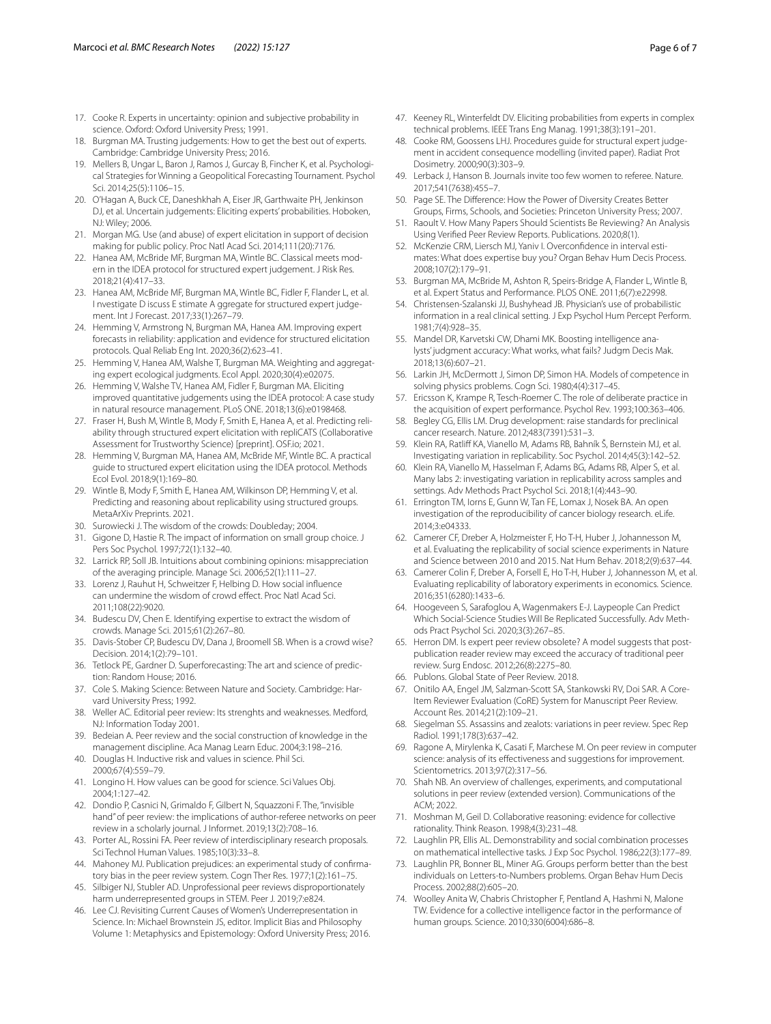- <span id="page-5-0"></span>17. Cooke R. Experts in uncertainty: opinion and subjective probability in science. Oxford: Oxford University Press; 1991.
- 18. Burgman MA. Trusting judgements: How to get the best out of experts. Cambridge: Cambridge University Press; 2016.
- 19. Mellers B, Ungar L, Baron J, Ramos J, Gurcay B, Fincher K, et al. Psychological Strategies for Winning a Geopolitical Forecasting Tournament. Psychol Sci. 2014;25(5):1106–15.
- <span id="page-5-19"></span>20. O'Hagan A, Buck CE, Daneshkhah A, Eiser JR, Garthwaite PH, Jenkinson DJ, et al. Uncertain judgements: Eliciting experts' probabilities. Hoboken, NJ: Wiley; 2006.
- <span id="page-5-1"></span>21. Morgan MG. Use (and abuse) of expert elicitation in support of decision making for public policy. Proc Natl Acad Sci. 2014;111(20):7176.
- <span id="page-5-2"></span>22. Hanea AM, McBride MF, Burgman MA, Wintle BC. Classical meets modern in the IDEA protocol for structured expert judgement. J Risk Res. 2018;21(4):417–33.
- 23. Hanea AM, McBride MF, Burgman MA, Wintle BC, Fidler F, Flander L, et al. I nvestigate D iscuss E stimate A ggregate for structured expert judgement. Int J Forecast. 2017;33(1):267–79.
- 24. Hemming V, Armstrong N, Burgman MA, Hanea AM. Improving expert forecasts in reliability: application and evidence for structured elicitation protocols. Qual Reliab Eng Int. 2020;36(2):623–41.
- 25. Hemming V, Hanea AM, Walshe T, Burgman MA. Weighting and aggregating expert ecological judgments. Ecol Appl. 2020;30(4):e02075.
- 26. Hemming V, Walshe TV, Hanea AM, Fidler F, Burgman MA. Eliciting improved quantitative judgements using the IDEA protocol: A case study in natural resource management. PLoS ONE. 2018;13(6):e0198468.
- 27. Fraser H, Bush M, Wintle B, Mody F, Smith E, Hanea A, et al. Predicting reliability through structured expert elicitation with repliCATS (Collaborative Assessment for Trustworthy Science) [preprint]. OSF.io; 2021.
- <span id="page-5-3"></span>28. Hemming V, Burgman MA, Hanea AM, McBride MF, Wintle BC. A practical guide to structured expert elicitation using the IDEA protocol. Methods Ecol Evol. 2018;9(1):169–80.
- <span id="page-5-4"></span>29. Wintle B, Mody F, Smith E, Hanea AM, Wilkinson DP, Hemming V, et al. Predicting and reasoning about replicability using structured groups. MetaArXiv Preprints. 2021.
- <span id="page-5-5"></span>30. Surowiecki J. The wisdom of the crowds: Doubleday; 2004.
- <span id="page-5-6"></span>31. Gigone D, Hastie R. The impact of information on small group choice. J Pers Soc Psychol. 1997;72(1):132–40.
- 32. Larrick RP, Soll JB. Intuitions about combining opinions: misappreciation of the averaging principle. Manage Sci. 2006;52(1):111–27.
- 33. Lorenz J, Rauhut H, Schweitzer F, Helbing D. How social infuence can undermine the wisdom of crowd efect. Proc Natl Acad Sci. 2011;108(22):9020.
- <span id="page-5-7"></span>34. Budescu DV, Chen E. Identifying expertise to extract the wisdom of crowds. Manage Sci. 2015;61(2):267–80.
- <span id="page-5-8"></span>35. Davis-Stober CP, Budescu DV, Dana J, Broomell SB. When is a crowd wise? Decision. 2014;1(2):79–101.
- <span id="page-5-9"></span>36. Tetlock PE, Gardner D. Superforecasting: The art and science of prediction: Random House; 2016.
- <span id="page-5-10"></span>37. Cole S. Making Science: Between Nature and Society. Cambridge: Harvard University Press; 1992.
- <span id="page-5-11"></span>38. Weller AC. Editorial peer review: Its strenghts and weaknesses. Medford, NJ: Information Today 2001.
- <span id="page-5-12"></span>39. Bedeian A. Peer review and the social construction of knowledge in the management discipline. Aca Manag Learn Educ. 2004;3:198–216.
- 40. Douglas H. Inductive risk and values in science. Phil Sci. 2000;67(4):559–79.
- <span id="page-5-13"></span>41. Longino H. How values can be good for science. Sci Values Obj. 2004;1:127–42.
- <span id="page-5-14"></span>42. Dondio P, Casnici N, Grimaldo F, Gilbert N, Squazzoni F. The, "invisible hand" of peer review: the implications of author-referee networks on peer review in a scholarly journal. J Informet. 2019;13(2):708–16.
- <span id="page-5-15"></span>43. Porter AL, Rossini FA. Peer review of interdisciplinary research proposals. Sci Technol Human Values. 1985;10(3):33–8.
- <span id="page-5-16"></span>44. Mahoney MJ. Publication prejudices: an experimental study of confrmatory bias in the peer review system. Cogn Ther Res. 1977;1(2):161–75.
- <span id="page-5-17"></span>45. Silbiger NJ, Stubler AD. Unprofessional peer reviews disproportionately harm underrepresented groups in STEM. Peer J. 2019;7:e824.
- <span id="page-5-18"></span>46. Lee CJ. Revisiting Current Causes of Women's Underrepresentation in Science. In: Michael Brownstein JS, editor. Implicit Bias and Philosophy Volume 1: Metaphysics and Epistemology: Oxford University Press; 2016.
- <span id="page-5-20"></span>47. Keeney RL, Winterfeldt DV. Eliciting probabilities from experts in complex technical problems. IEEE Trans Eng Manag. 1991;38(3):191–201.
- <span id="page-5-21"></span>48. Cooke RM, Goossens LHJ. Procedures guide for structural expert judgement in accident consequence modelling (invited paper). Radiat Prot Dosimetry. 2000;90(3):303–9.
- <span id="page-5-22"></span>49. Lerback J, Hanson B. Journals invite too few women to referee. Nature. 2017;541(7638):455–7.
- <span id="page-5-23"></span>50. Page SE. The Diference: How the Power of Diversity Creates Better Groups, Firms, Schools, and Societies: Princeton University Press; 2007.
- <span id="page-5-24"></span>51. Raoult V. How Many Papers Should Scientists Be Reviewing? An Analysis Using Verifed Peer Review Reports. Publications. 2020;8(1).
- <span id="page-5-25"></span>52. McKenzie CRM, Liersch MJ, Yaniv I. Overconfdence in interval estimates: What does expertise buy you? Organ Behav Hum Decis Process. 2008;107(2):179–91.
- <span id="page-5-26"></span>53. Burgman MA, McBride M, Ashton R, Speirs-Bridge A, Flander L, Wintle B, et al. Expert Status and Performance. PLOS ONE. 2011;6(7):e22998.
- <span id="page-5-27"></span>54. Christensen-Szalanski JJ, Bushyhead JB. Physician's use of probabilistic information in a real clinical setting. J Exp Psychol Hum Percept Perform. 1981;7(4):928–35.
- <span id="page-5-28"></span>55. Mandel DR, Karvetski CW, Dhami MK. Boosting intelligence analysts' judgment accuracy: What works, what fails? Judgm Decis Mak. 2018;13(6):607–21.
- <span id="page-5-29"></span>56. Larkin JH, McDermott J, Simon DP, Simon HA. Models of competence in solving physics problems. Cogn Sci. 1980;4(4):317–45.
- <span id="page-5-30"></span>57. Ericsson K, Krampe R, Tesch-Roemer C. The role of deliberate practice in the acquisition of expert performance. Psychol Rev. 1993;100:363–406.
- <span id="page-5-31"></span>58. Begley CG, Ellis LM. Drug development: raise standards for preclinical cancer research. Nature. 2012;483(7391):531–3.
- 59. Klein RA, Ratlif KA, Vianello M, Adams RB, Bahník Š, Bernstein MJ, et al. Investigating variation in replicability. Soc Psychol. 2014;45(3):142–52.
- 60. Klein RA, Vianello M, Hasselman F, Adams BG, Adams RB, Alper S, et al. Many labs 2: investigating variation in replicability across samples and settings. Adv Methods Pract Psychol Sci. 2018;1(4):443–90.
- 61. Errington TM, Iorns E, Gunn W, Tan FE, Lomax J, Nosek BA. An open investigation of the reproducibility of cancer biology research. eLife. 2014;3:e04333.
- 62. Camerer CF, Dreber A, Holzmeister F, Ho T-H, Huber J, Johannesson M, et al. Evaluating the replicability of social science experiments in Nature and Science between 2010 and 2015. Nat Hum Behav. 2018;2(9):637–44.
- <span id="page-5-32"></span>63. Camerer Colin F, Dreber A, Forsell E, Ho T-H, Huber J, Johannesson M, et al. Evaluating replicability of laboratory experiments in economics. Science. 2016;351(6280):1433–6.
- <span id="page-5-33"></span>64. Hoogeveen S, Sarafoglou A, Wagenmakers E-J. Laypeople Can Predict Which Social-Science Studies Will Be Replicated Successfully. Adv Methods Pract Psychol Sci. 2020;3(3):267–85.
- <span id="page-5-34"></span>65. Herron DM. Is expert peer review obsolete? A model suggests that postpublication reader review may exceed the accuracy of traditional peer review. Surg Endosc. 2012;26(8):2275–80.
- <span id="page-5-35"></span>66. Publons. Global State of Peer Review. 2018.
- <span id="page-5-36"></span>67. Onitilo AA, Engel JM, Salzman-Scott SA, Stankowski RV, Doi SAR. A Core-Item Reviewer Evaluation (CoRE) System for Manuscript Peer Review. Account Res. 2014;21(2):109–21.
- <span id="page-5-37"></span>68. Siegelman SS. Assassins and zealots: variations in peer review. Spec Rep Radiol. 1991;178(3):637–42.
- 69. Ragone A, Mirylenka K, Casati F, Marchese M. On peer review in computer science: analysis of its efectiveness and suggestions for improvement. Scientometrics. 2013;97(2):317–56.
- <span id="page-5-38"></span>70. Shah NB. An overview of challenges, experiments, and computational solutions in peer review (extended version). Communications of the ACM; 2022.
- <span id="page-5-39"></span>71. Moshman M, Geil D. Collaborative reasoning: evidence for collective rationality. Think Reason. 1998;4(3):231–48.
- 72. Laughlin PR, Ellis AL. Demonstrability and social combination processes on mathematical intellective tasks. J Exp Soc Psychol. 1986;22(3):177–89.
- 73. Laughlin PR, Bonner BL, Miner AG. Groups perform better than the best individuals on Letters-to-Numbers problems. Organ Behav Hum Decis Process. 2002;88(2):605–20.
- 74. Woolley Anita W, Chabris Christopher F, Pentland A, Hashmi N, Malone TW. Evidence for a collective intelligence factor in the performance of human groups. Science. 2010;330(6004):686–8.